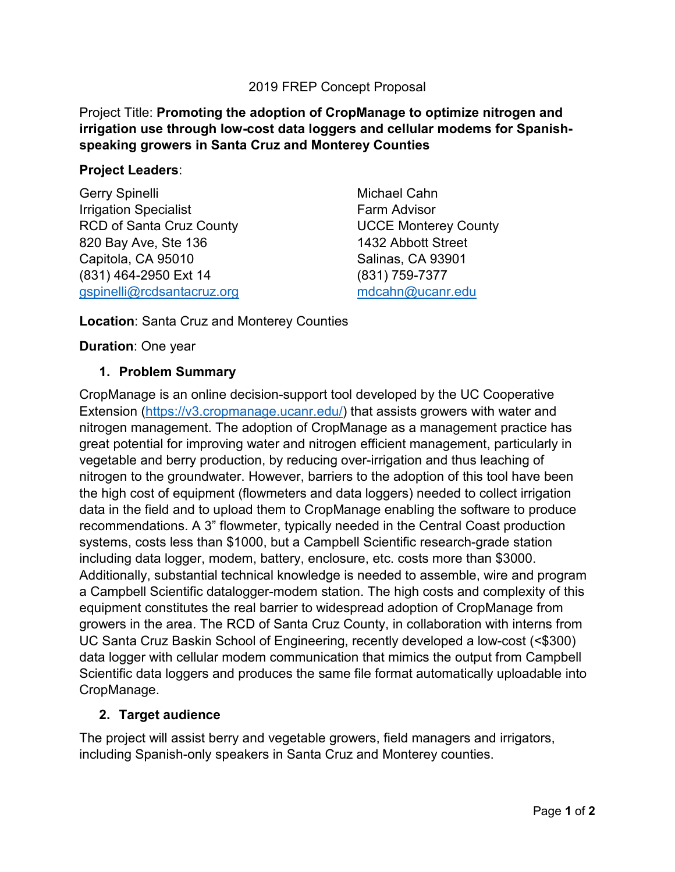### 2019 FREP Concept Proposal

### Project Title: **Promoting the adoption of CropManage to optimize nitrogen and irrigation use through low-cost data loggers and cellular modems for Spanishspeaking growers in Santa Cruz and Monterey Counties**

#### **Project Leaders**:

Gerry Spinelli Irrigation Specialist RCD of Santa Cruz County 820 Bay Ave, Ste 136 Capitola, CA 95010 (831) 464-2950 Ext 14 [gspinelli@rcdsantacruz.org](mailto:gspinelli@rcdsantacruz.org)

Michael Cahn Farm Advisor UCCE Monterey County 1432 Abbott Street Salinas, CA 93901 (831) 759-7377 [mdcahn@ucanr.edu](mailto:mdcahn@ucanr.edu)

**Location**: Santa Cruz and Monterey Counties

**Duration**: One year

#### **1. Problem Summary**

CropManage is an online decision-support tool developed by the UC Cooperative Extension [\(https://v3.cropmanage.ucanr.edu/\)](https://v3.cropmanage.ucanr.edu/) that assists growers with water and nitrogen management. The adoption of CropManage as a management practice has great potential for improving water and nitrogen efficient management, particularly in vegetable and berry production, by reducing over-irrigation and thus leaching of nitrogen to the groundwater. However, barriers to the adoption of this tool have been the high cost of equipment (flowmeters and data loggers) needed to collect irrigation data in the field and to upload them to CropManage enabling the software to produce recommendations. A 3" flowmeter, typically needed in the Central Coast production systems, costs less than \$1000, but a Campbell Scientific research-grade station including data logger, modem, battery, enclosure, etc. costs more than \$3000. Additionally, substantial technical knowledge is needed to assemble, wire and program a Campbell Scientific datalogger-modem station. The high costs and complexity of this equipment constitutes the real barrier to widespread adoption of CropManage from growers in the area. The RCD of Santa Cruz County, in collaboration with interns from UC Santa Cruz Baskin School of Engineering, recently developed a low-cost (<\$300) data logger with cellular modem communication that mimics the output from Campbell Scientific data loggers and produces the same file format automatically uploadable into CropManage.

### **2. Target audience**

The project will assist berry and vegetable growers, field managers and irrigators, including Spanish-only speakers in Santa Cruz and Monterey counties.